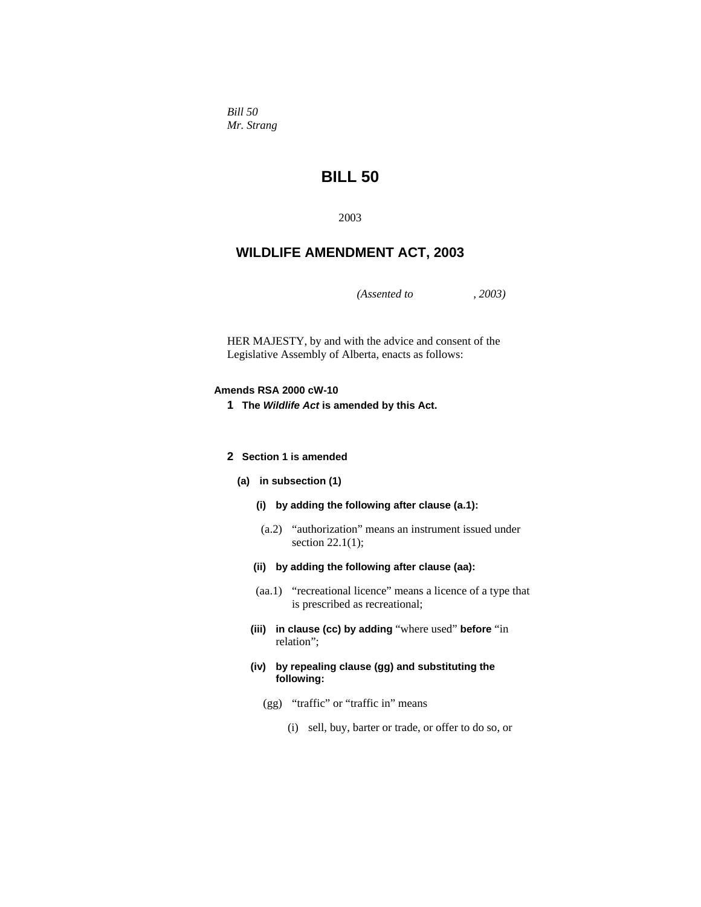*Bill 50 Mr. Strang* 

# **BILL 50**

2003

# **WILDLIFE AMENDMENT ACT, 2003**

*(Assented to , 2003)* 

HER MAJESTY, by and with the advice and consent of the Legislative Assembly of Alberta, enacts as follows:

# **Amends RSA 2000 cW-10**

**1 The** *Wildlife Act* **is amended by this Act.** 

# **2 Section 1 is amended**

- **(a) in subsection (1)** 
	- **(i) by adding the following after clause (a.1):**
	- (a.2) "authorization" means an instrument issued under section 22.1(1);
	- **(ii) by adding the following after clause (aa):**
	- (aa.1) "recreational licence" means a licence of a type that is prescribed as recreational;
	- **(iii) in clause (cc) by adding** "where used" **before** "in relation";
	- **(iv) by repealing clause (gg) and substituting the following:**
		- (gg) "traffic" or "traffic in" means
			- (i) sell, buy, barter or trade, or offer to do so, or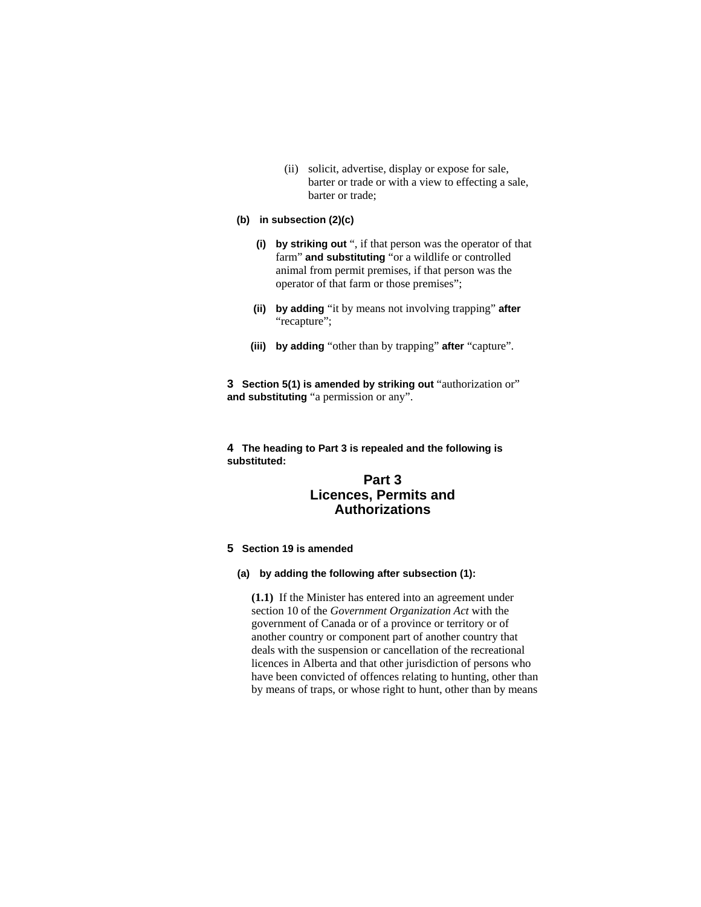(ii) solicit, advertise, display or expose for sale, barter or trade or with a view to effecting a sale, barter or trade;

# **(b) in subsection (2)(c)**

- **(i) by striking out** ", if that person was the operator of that farm" **and substituting** "or a wildlife or controlled animal from permit premises, if that person was the operator of that farm or those premises";
- **(ii) by adding** "it by means not involving trapping" **after** "recapture";
- **(iii) by adding** "other than by trapping" **after** "capture".

**3 Section 5(1) is amended by striking out** "authorization or" **and substituting** "a permission or any".

**4 The heading to Part 3 is repealed and the following is substituted:**

# **Part 3 Licences, Permits and Authorizations**

# **5 Section 19 is amended**

**(a) by adding the following after subsection (1):** 

**(1.1)** If the Minister has entered into an agreement under section 10 of the *Government Organization Act* with the government of Canada or of a province or territory or of another country or component part of another country that deals with the suspension or cancellation of the recreational licences in Alberta and that other jurisdiction of persons who have been convicted of offences relating to hunting, other than by means of traps, or whose right to hunt, other than by means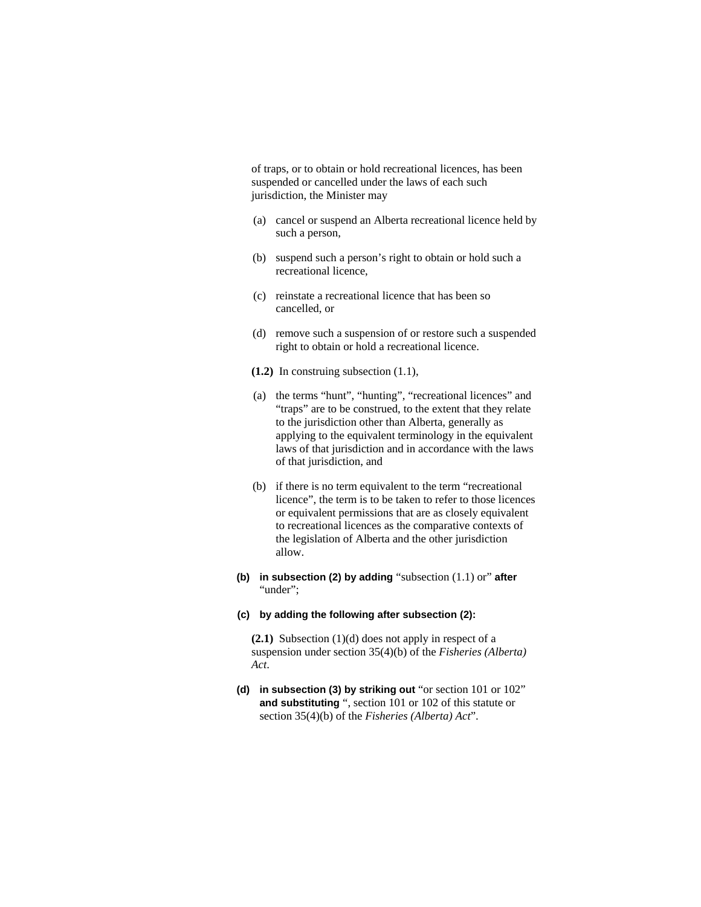of traps, or to obtain or hold recreational licences, has been suspended or cancelled under the laws of each such jurisdiction, the Minister may

- (a) cancel or suspend an Alberta recreational licence held by such a person,
- (b) suspend such a person's right to obtain or hold such a recreational licence,
- (c) reinstate a recreational licence that has been so cancelled, or
- (d) remove such a suspension of or restore such a suspended right to obtain or hold a recreational licence.
- **(1.2)** In construing subsection (1.1),
- (a) the terms "hunt", "hunting", "recreational licences" and "traps" are to be construed, to the extent that they relate to the jurisdiction other than Alberta, generally as applying to the equivalent terminology in the equivalent laws of that jurisdiction and in accordance with the laws of that jurisdiction, and
- (b) if there is no term equivalent to the term "recreational licence", the term is to be taken to refer to those licences or equivalent permissions that are as closely equivalent to recreational licences as the comparative contexts of the legislation of Alberta and the other jurisdiction allow.
- **(b) in subsection (2) by adding** "subsection (1.1) or" **after** "under":

#### **(c) by adding the following after subsection (2):**

**(2.1)** Subsection (1)(d) does not apply in respect of a suspension under section 35(4)(b) of the *Fisheries (Alberta) Act*.

**(d) in subsection (3) by striking out** "or section 101 or 102" **and substituting** ", section 101 or 102 of this statute or section 35(4)(b) of the *Fisheries (Alberta) Act*".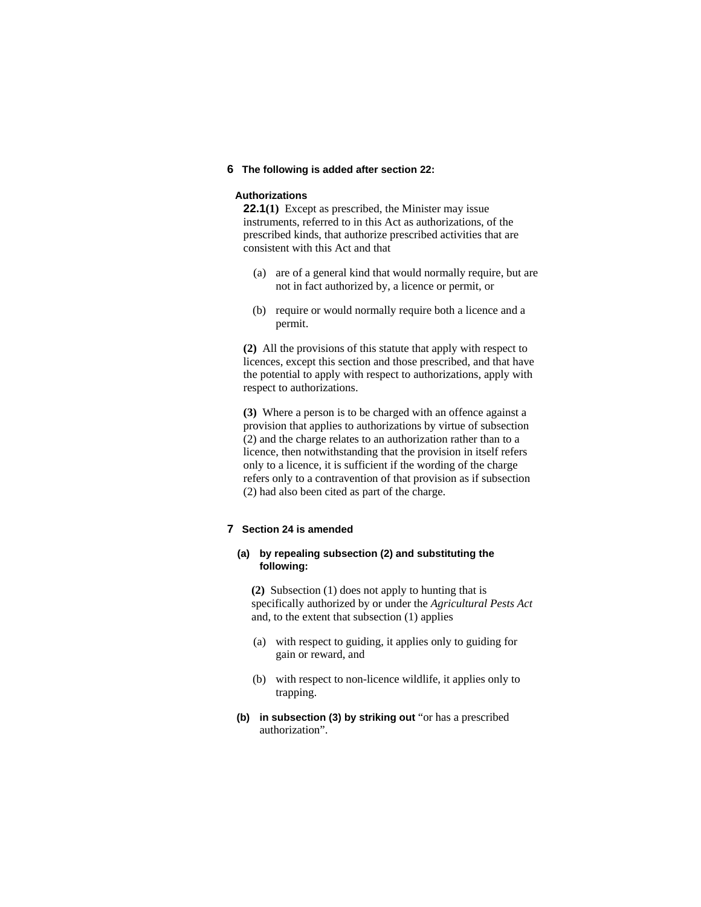# **6 The following is added after section 22:**

#### **Authorizations**

**22.1(1)** Except as prescribed, the Minister may issue instruments, referred to in this Act as authorizations, of the prescribed kinds, that authorize prescribed activities that are consistent with this Act and that

- (a) are of a general kind that would normally require, but are not in fact authorized by, a licence or permit, or
- (b) require or would normally require both a licence and a permit.

**(2)** All the provisions of this statute that apply with respect to licences, except this section and those prescribed, and that have the potential to apply with respect to authorizations, apply with respect to authorizations.

**(3)** Where a person is to be charged with an offence against a provision that applies to authorizations by virtue of subsection (2) and the charge relates to an authorization rather than to a licence, then notwithstanding that the provision in itself refers only to a licence, it is sufficient if the wording of the charge refers only to a contravention of that provision as if subsection (2) had also been cited as part of the charge.

# **7 Section 24 is amended**

# **(a) by repealing subsection (2) and substituting the following:**

**(2)** Subsection (1) does not apply to hunting that is specifically authorized by or under the *Agricultural Pests Act* and, to the extent that subsection (1) applies

- (a) with respect to guiding, it applies only to guiding for gain or reward, and
- (b) with respect to non-licence wildlife, it applies only to trapping.
- **(b) in subsection (3) by striking out** "or has a prescribed authorization".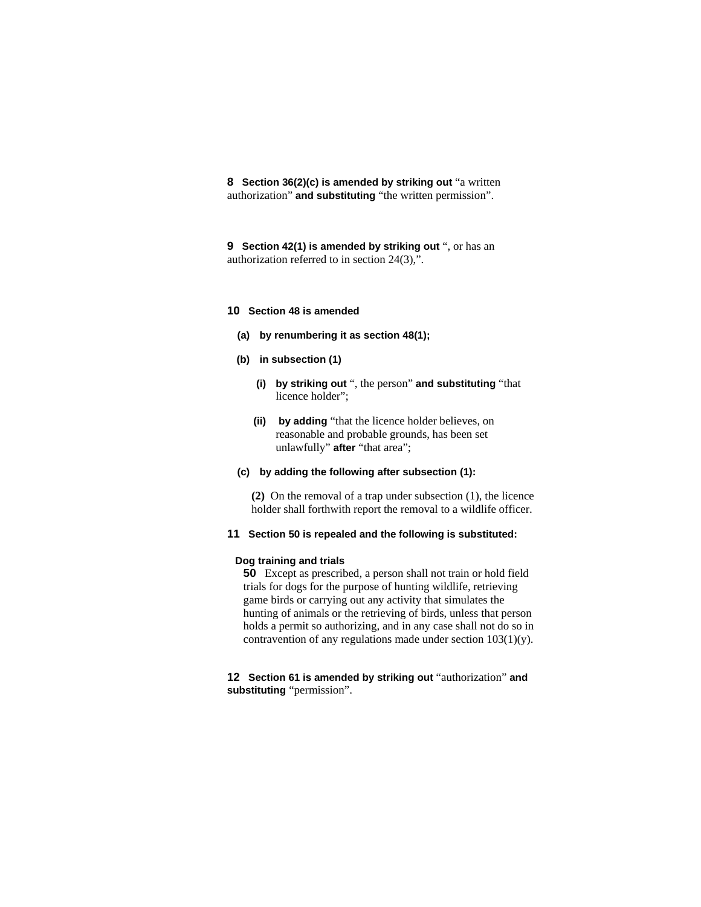**8 Section 36(2)(c) is amended by striking out** "a written authorization" **and substituting** "the written permission".

**9 Section 42(1) is amended by striking out** ", or has an authorization referred to in section 24(3),".

#### **10 Section 48 is amended**

- **(a) by renumbering it as section 48(1);**
- **(b) in subsection (1)**
	- **(i) by striking out** ", the person" **and substituting** "that licence holder";
	- **(ii) by adding** "that the licence holder believes, on reasonable and probable grounds, has been set unlawfully" **after** "that area";
- **(c) by adding the following after subsection (1):**

**(2)** On the removal of a trap under subsection (1), the licence holder shall forthwith report the removal to a wildlife officer.

#### **11 Section 50 is repealed and the following is substituted:**

# **Dog training and trials**

**50** Except as prescribed, a person shall not train or hold field trials for dogs for the purpose of hunting wildlife, retrieving game birds or carrying out any activity that simulates the hunting of animals or the retrieving of birds, unless that person holds a permit so authorizing, and in any case shall not do so in contravention of any regulations made under section 103(1)(y).

**12 Section 61 is amended by striking out** "authorization" **and substituting** "permission".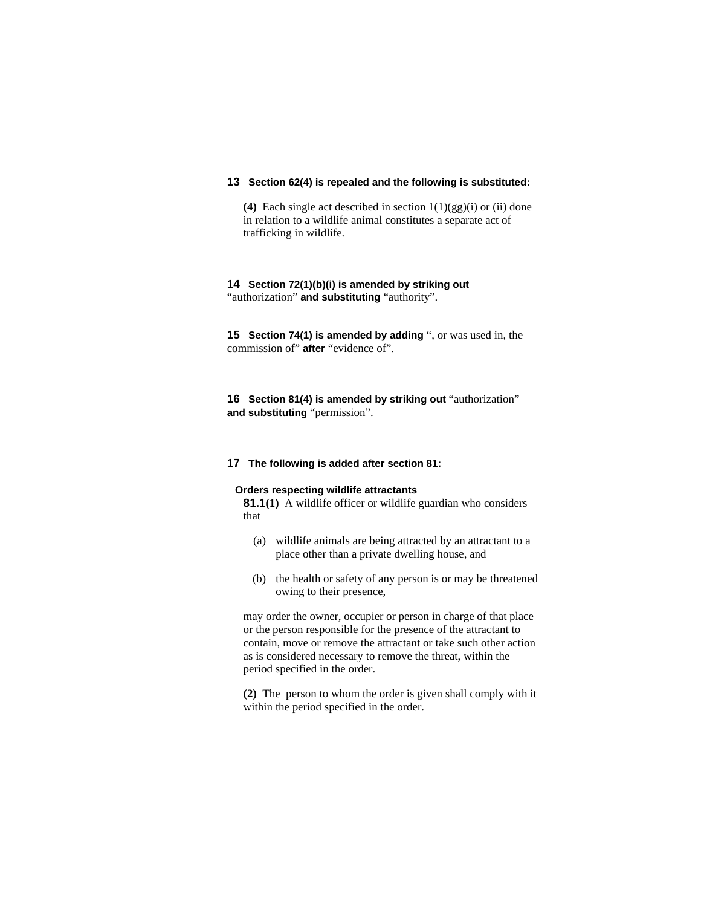# **13 Section 62(4) is repealed and the following is substituted:**

**(4)** Each single act described in section 1(1)(gg)(i) or (ii) done in relation to a wildlife animal constitutes a separate act of trafficking in wildlife.

# **14 Section 72(1)(b)(i) is amended by striking out**  "authorization" **and substituting** "authority".

**15 Section 74(1) is amended by adding** ", or was used in, the commission of" **after** "evidence of".

**16 Section 81(4) is amended by striking out** "authorization" **and substituting** "permission".

# **17 The following is added after section 81:**

# **Orders respecting wildlife attractants**

**81.1(1)** A wildlife officer or wildlife guardian who considers that

- (a) wildlife animals are being attracted by an attractant to a place other than a private dwelling house, and
- (b) the health or safety of any person is or may be threatened owing to their presence,

may order the owner, occupier or person in charge of that place or the person responsible for the presence of the attractant to contain, move or remove the attractant or take such other action as is considered necessary to remove the threat, within the period specified in the order.

**(2)** The person to whom the order is given shall comply with it within the period specified in the order.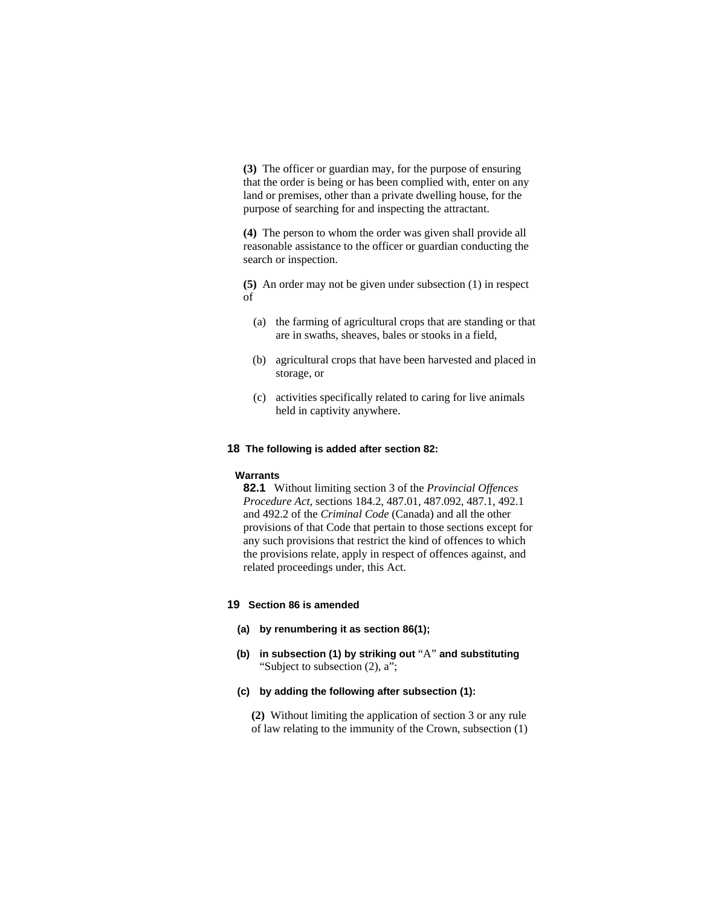**(3)** The officer or guardian may, for the purpose of ensuring that the order is being or has been complied with, enter on any land or premises, other than a private dwelling house, for the purpose of searching for and inspecting the attractant.

**(4)** The person to whom the order was given shall provide all reasonable assistance to the officer or guardian conducting the search or inspection.

**(5)** An order may not be given under subsection (1) in respect of

- (a) the farming of agricultural crops that are standing or that are in swaths, sheaves, bales or stooks in a field,
- (b) agricultural crops that have been harvested and placed in storage, or
- (c) activities specifically related to caring for live animals held in captivity anywhere.

# **18 The following is added after section 82:**

#### **Warrants**

**82.1** Without limiting section 3 of the *Provincial Offences Procedure Act*, sections 184.2, 487.01, 487.092, 487.1, 492.1 and 492.2 of the *Criminal Code* (Canada) and all the other provisions of that Code that pertain to those sections except for any such provisions that restrict the kind of offences to which the provisions relate, apply in respect of offences against, and related proceedings under, this Act.

### **19 Section 86 is amended**

- **(a) by renumbering it as section 86(1);**
- **(b) in subsection (1) by striking out** "A" **and substituting** "Subject to subsection (2), a";
- **(c) by adding the following after subsection (1):**

**(2)** Without limiting the application of section 3 or any rule of law relating to the immunity of the Crown, subsection (1)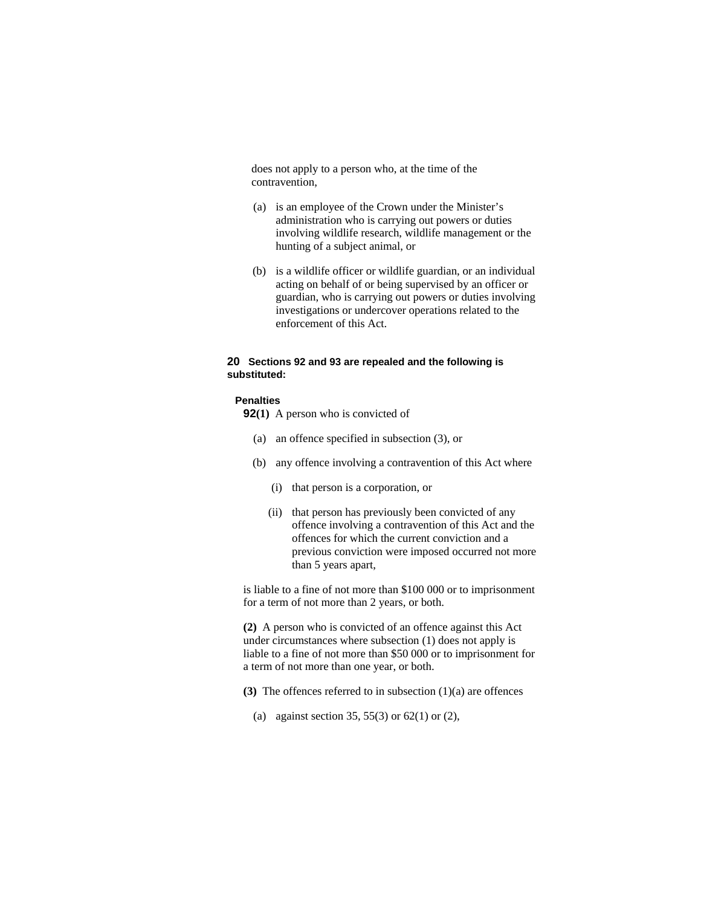does not apply to a person who, at the time of the contravention,

- (a) is an employee of the Crown under the Minister's administration who is carrying out powers or duties involving wildlife research, wildlife management or the hunting of a subject animal, or
- (b) is a wildlife officer or wildlife guardian, or an individual acting on behalf of or being supervised by an officer or guardian, who is carrying out powers or duties involving investigations or undercover operations related to the enforcement of this Act.

# **20 Sections 92 and 93 are repealed and the following is substituted:**

### **Penalties**

- **92(1)** A person who is convicted of
	- (a) an offence specified in subsection (3), or
	- (b) any offence involving a contravention of this Act where
		- (i) that person is a corporation, or
		- (ii) that person has previously been convicted of any offence involving a contravention of this Act and the offences for which the current conviction and a previous conviction were imposed occurred not more than 5 years apart,

is liable to a fine of not more than \$100 000 or to imprisonment for a term of not more than 2 years, or both.

**(2)** A person who is convicted of an offence against this Act under circumstances where subsection (1) does not apply is liable to a fine of not more than \$50 000 or to imprisonment for a term of not more than one year, or both.

- **(3)** The offences referred to in subsection (1)(a) are offences
	- (a) against section 35, 55(3) or 62(1) or (2),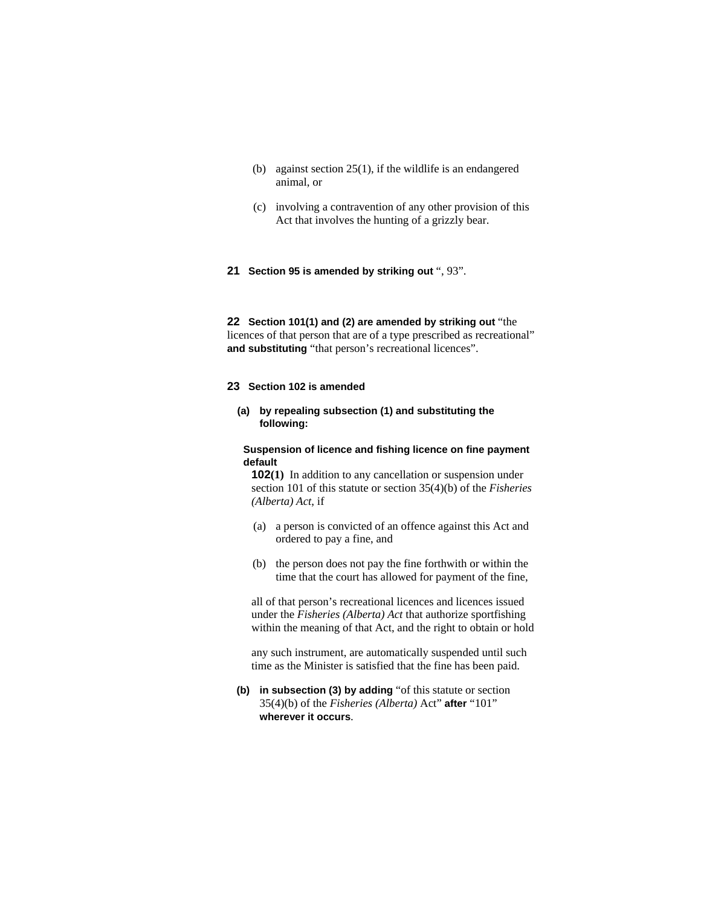- (b) against section 25(1), if the wildlife is an endangered animal, or
- (c) involving a contravention of any other provision of this Act that involves the hunting of a grizzly bear.
- **21 Section 95 is amended by striking out** ", 93".

**22 Section 101(1) and (2) are amended by striking out** "the licences of that person that are of a type prescribed as recreational" **and substituting** "that person's recreational licences".

### **23 Section 102 is amended**

**(a) by repealing subsection (1) and substituting the following:** 

**Suspension of licence and fishing licence on fine payment default** 

**102(1)** In addition to any cancellation or suspension under section 101 of this statute or section 35(4)(b) of the *Fisheries (Alberta) Act*, if

- (a) a person is convicted of an offence against this Act and ordered to pay a fine, and
- (b) the person does not pay the fine forthwith or within the time that the court has allowed for payment of the fine,

all of that person's recreational licences and licences issued under the *Fisheries (Alberta) Act* that authorize sportfishing within the meaning of that Act, and the right to obtain or hold

any such instrument, are automatically suspended until such time as the Minister is satisfied that the fine has been paid.

**(b) in subsection (3) by adding** "of this statute or section 35(4)(b) of the *Fisheries (Alberta)* Act" **after** "101" **wherever it occurs**.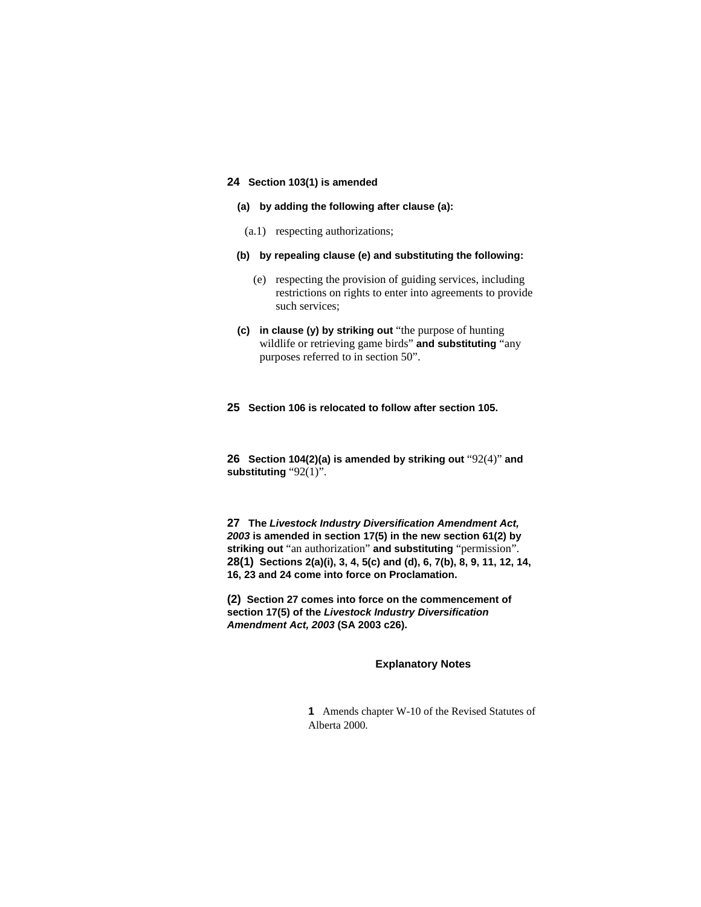# **24 Section 103(1) is amended**

- **(a) by adding the following after clause (a):**
- (a.1) respecting authorizations;
- **(b) by repealing clause (e) and substituting the following:**
	- (e) respecting the provision of guiding services, including restrictions on rights to enter into agreements to provide such services;
- **(c) in clause (y) by striking out** "the purpose of hunting wildlife or retrieving game birds" **and substituting** "any purposes referred to in section 50".

#### **25 Section 106 is relocated to follow after section 105.**

**26 Section 104(2)(a) is amended by striking out** "92(4)" **and substituting** "92(1)".

**27 The** *Livestock Industry Diversification Amendment Act, 2003* **is amended in section 17(5) in the new section 61(2) by striking out** "an authorization" **and substituting** "permission". **28(1) Sections 2(a)(i), 3, 4, 5(c) and (d), 6, 7(b), 8, 9, 11, 12, 14, 16, 23 and 24 come into force on Proclamation.**

**(2) Section 27 comes into force on the commencement of section 17(5) of the** *Livestock Industry Diversification Amendment Act, 2003* **(SA 2003 c26).** 

#### **Explanatory Notes**

**1** Amends chapter W-10 of the Revised Statutes of Alberta 2000.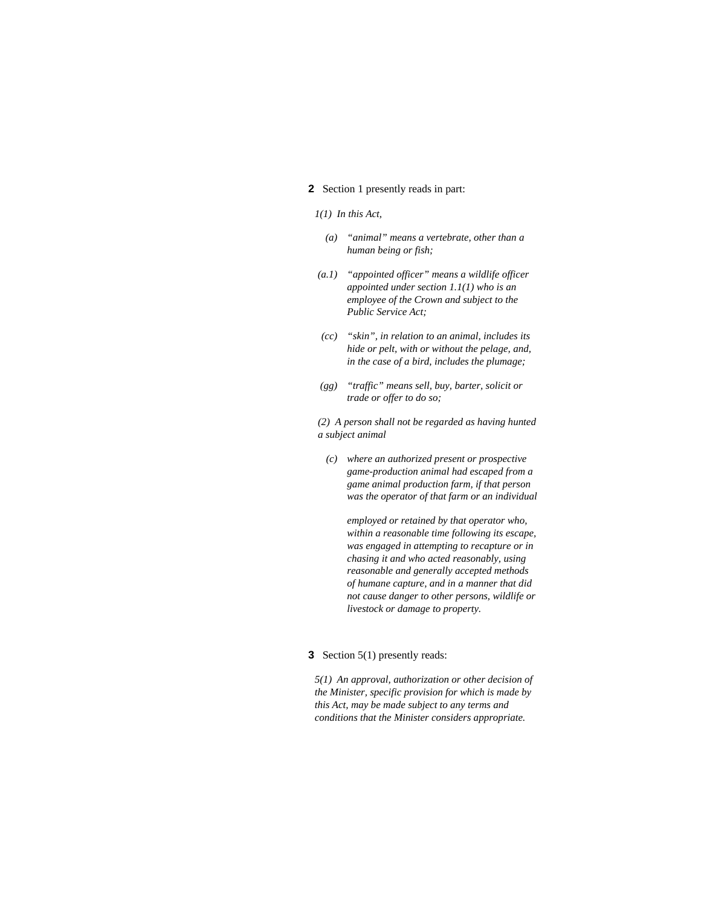# **2** Section 1 presently reads in part:

### *1(1) In this Act,*

- *(a) "animal" means a vertebrate, other than a human being or fish;*
- *(a.1) "appointed officer" means a wildlife officer appointed under section 1.1(1) who is an employee of the Crown and subject to the Public Service Act;*
- *(cc) "skin", in relation to an animal, includes its hide or pelt, with or without the pelage, and, in the case of a bird, includes the plumage;*
- *(gg) "traffic" means sell, buy, barter, solicit or trade or offer to do so;*

*(2) A person shall not be regarded as having hunted a subject animal* 

 *(c) where an authorized present or prospective game-production animal had escaped from a game animal production farm, if that person was the operator of that farm or an individual* 

 *employed or retained by that operator who, within a reasonable time following its escape, was engaged in attempting to recapture or in chasing it and who acted reasonably, using reasonable and generally accepted methods of humane capture, and in a manner that did not cause danger to other persons, wildlife or livestock or damage to property.* 

#### **3** Section 5(1) presently reads:

*5(1) An approval, authorization or other decision of the Minister, specific provision for which is made by this Act, may be made subject to any terms and conditions that the Minister considers appropriate.*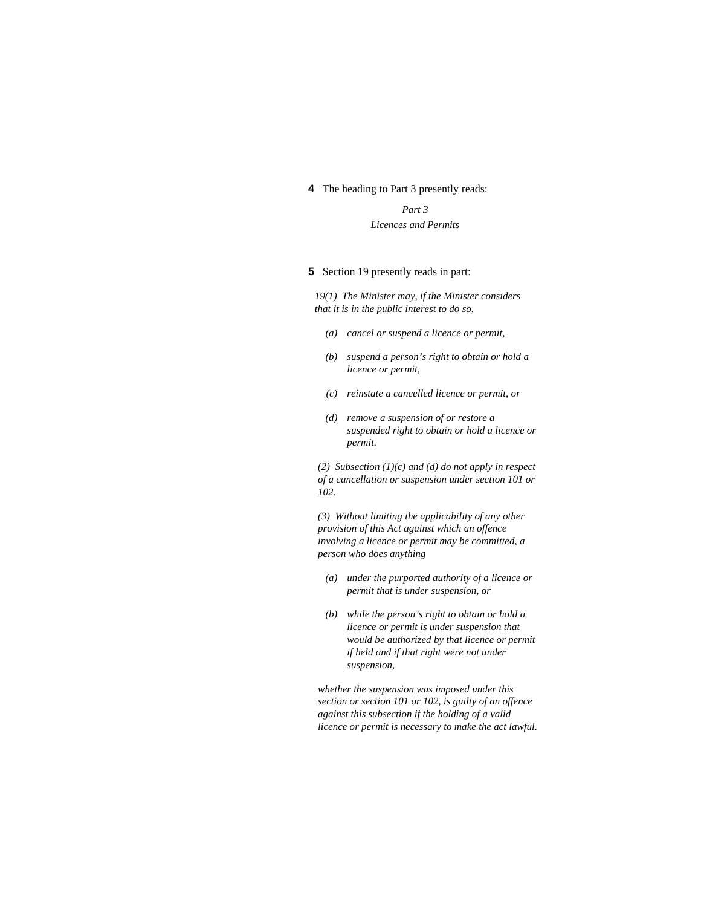# **4** The heading to Part 3 presently reads:

*Part 3 Licences and Permits* 

# **5** Section 19 presently reads in part:

*19(1) The Minister may, if the Minister considers that it is in the public interest to do so,* 

- *(a) cancel or suspend a licence or permit,*
- *(b) suspend a person's right to obtain or hold a licence or permit,*
- *(c) reinstate a cancelled licence or permit, or*
- *(d) remove a suspension of or restore a suspended right to obtain or hold a licence or permit.*

*(2) Subsection (1)(c) and (d) do not apply in respect of a cancellation or suspension under section 101 or 102.* 

*(3) Without limiting the applicability of any other provision of this Act against which an offence involving a licence or permit may be committed, a person who does anything* 

- *(a) under the purported authority of a licence or permit that is under suspension, or*
- *(b) while the person's right to obtain or hold a licence or permit is under suspension that would be authorized by that licence or permit if held and if that right were not under suspension,*

*whether the suspension was imposed under this section or section 101 or 102, is guilty of an offence against this subsection if the holding of a valid licence or permit is necessary to make the act lawful.*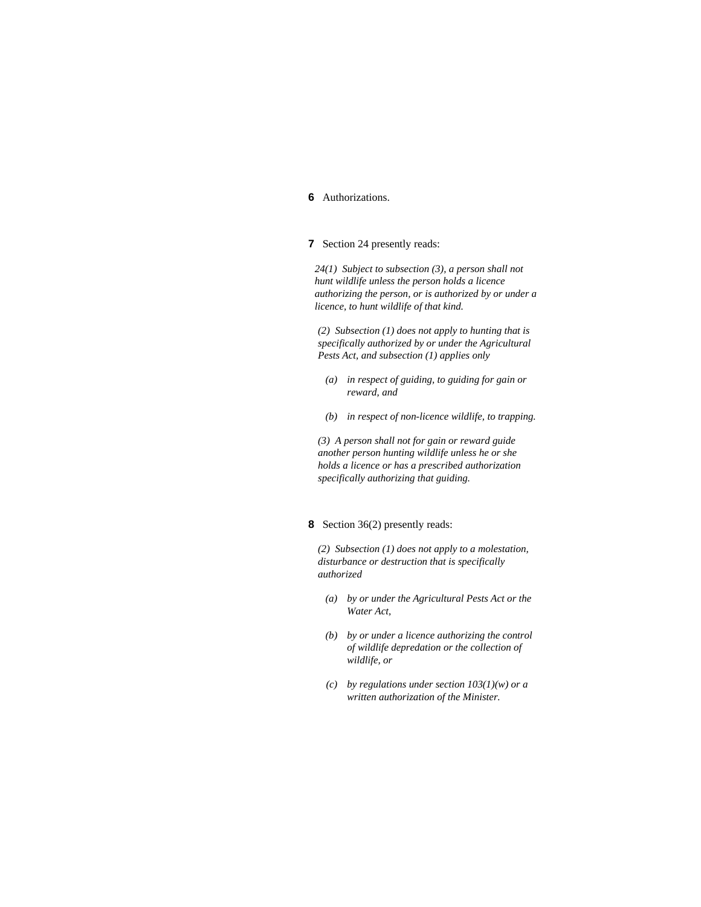# **6** Authorizations.

### **7** Section 24 presently reads:

*24(1) Subject to subsection (3), a person shall not hunt wildlife unless the person holds a licence authorizing the person, or is authorized by or under a licence, to hunt wildlife of that kind.* 

*(2) Subsection (1) does not apply to hunting that is specifically authorized by or under the Agricultural Pests Act, and subsection (1) applies only* 

- *(a) in respect of guiding, to guiding for gain or reward, and*
- *(b) in respect of non-licence wildlife, to trapping.*

*(3) A person shall not for gain or reward guide another person hunting wildlife unless he or she holds a licence or has a prescribed authorization specifically authorizing that guiding.* 

# **8** Section 36(2) presently reads:

*(2) Subsection (1) does not apply to a molestation, disturbance or destruction that is specifically authorized* 

- *(a) by or under the Agricultural Pests Act or the Water Act,*
- *(b) by or under a licence authorizing the control of wildlife depredation or the collection of wildlife, or*
- *(c) by regulations under section 103(1)(w) or a written authorization of the Minister.*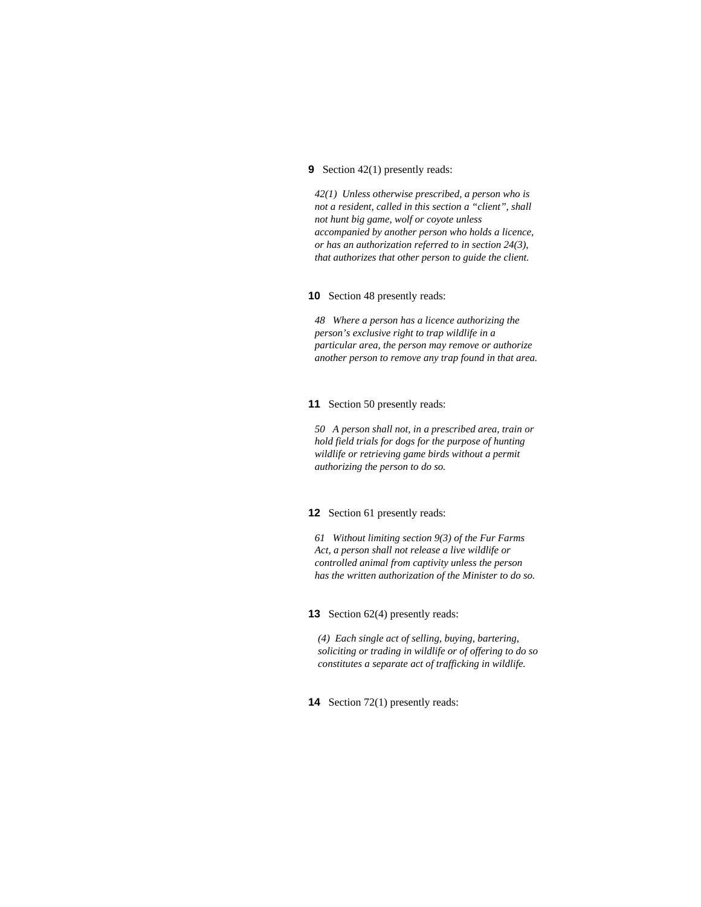# **9** Section 42(1) presently reads:

*42(1) Unless otherwise prescribed, a person who is not a resident, called in this section a "client", shall not hunt big game, wolf or coyote unless accompanied by another person who holds a licence, or has an authorization referred to in section 24(3), that authorizes that other person to guide the client.* 

### **10** Section 48 presently reads:

*48 Where a person has a licence authorizing the person's exclusive right to trap wildlife in a particular area, the person may remove or authorize another person to remove any trap found in that area.* 

#### **11** Section 50 presently reads:

*50 A person shall not, in a prescribed area, train or hold field trials for dogs for the purpose of hunting wildlife or retrieving game birds without a permit authorizing the person to do so.* 

# **12** Section 61 presently reads:

*61 Without limiting section 9(3) of the Fur Farms Act, a person shall not release a live wildlife or controlled animal from captivity unless the person has the written authorization of the Minister to do so.* 

### **13** Section 62(4) presently reads:

*(4) Each single act of selling, buying, bartering, soliciting or trading in wildlife or of offering to do so constitutes a separate act of trafficking in wildlife.* 

**14** Section 72(1) presently reads: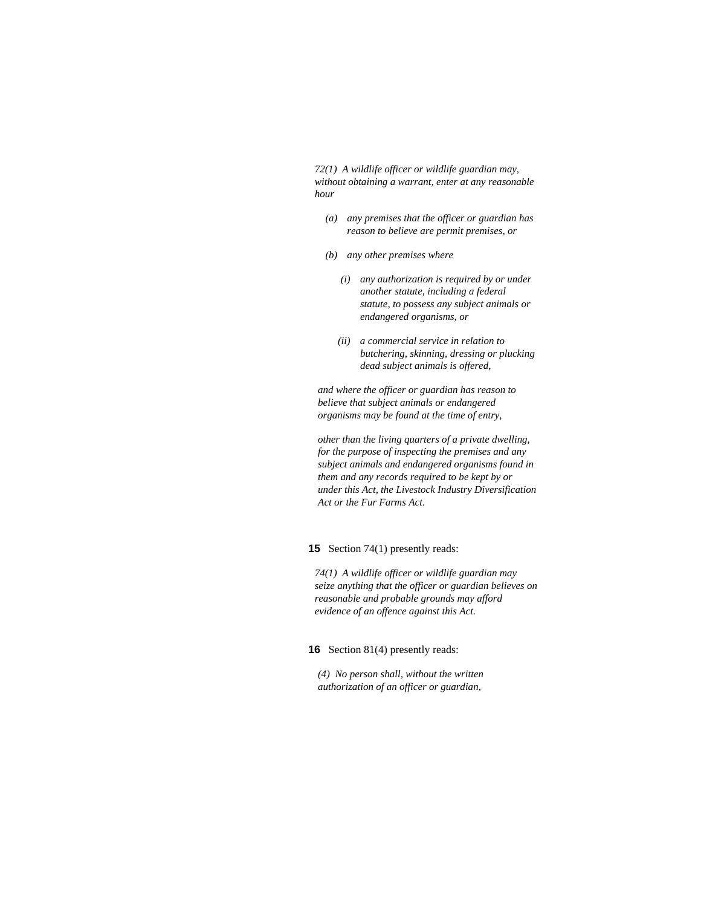*72(1) A wildlife officer or wildlife guardian may, without obtaining a warrant, enter at any reasonable hour* 

- *(a) any premises that the officer or guardian has reason to believe are permit premises, or*
- *(b) any other premises where* 
	- *(i) any authorization is required by or under another statute, including a federal statute, to possess any subject animals or endangered organisms, or*
	- *(ii) a commercial service in relation to butchering, skinning, dressing or plucking dead subject animals is offered,*

*and where the officer or guardian has reason to believe that subject animals or endangered organisms may be found at the time of entry,* 

*other than the living quarters of a private dwelling, for the purpose of inspecting the premises and any subject animals and endangered organisms found in them and any records required to be kept by or under this Act, the Livestock Industry Diversification Act or the Fur Farms Act.* 

**15** Section 74(1) presently reads:

*74(1) A wildlife officer or wildlife guardian may seize anything that the officer or guardian believes on reasonable and probable grounds may afford evidence of an offence against this Act.* 

**16** Section 81(4) presently reads:

*(4) No person shall, without the written authorization of an officer or guardian,*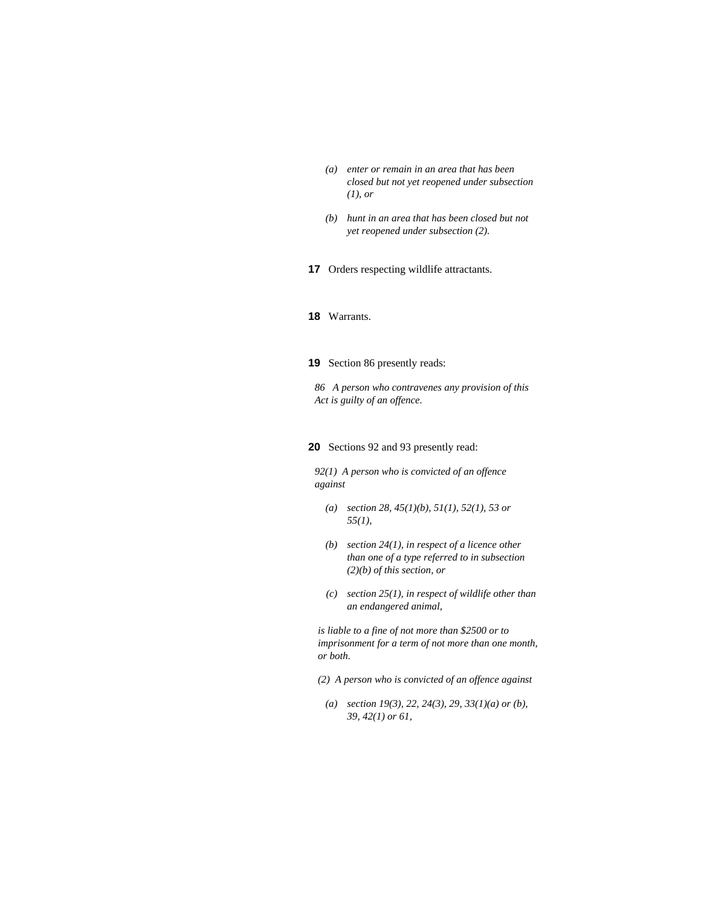- *(a) enter or remain in an area that has been closed but not yet reopened under subsection (1), or*
- *(b) hunt in an area that has been closed but not yet reopened under subsection (2).*
- **17** Orders respecting wildlife attractants.

# **18** Warrants.

#### **19** Section 86 presently reads:

*86 A person who contravenes any provision of this Act is guilty of an offence.* 

## **20** Sections 92 and 93 presently read:

*92(1) A person who is convicted of an offence against* 

- *(a) section 28, 45(1)(b), 51(1), 52(1), 53 or 55(1),*
- *(b) section 24(1), in respect of a licence other than one of a type referred to in subsection (2)(b) of this section, or*
- *(c) section 25(1), in respect of wildlife other than an endangered animal,*

*is liable to a fine of not more than \$2500 or to imprisonment for a term of not more than one month, or both.* 

- *(2) A person who is convicted of an offence against*
- *(a) section 19(3), 22, 24(3), 29, 33(1)(a) or (b), 39, 42(1) or 61,*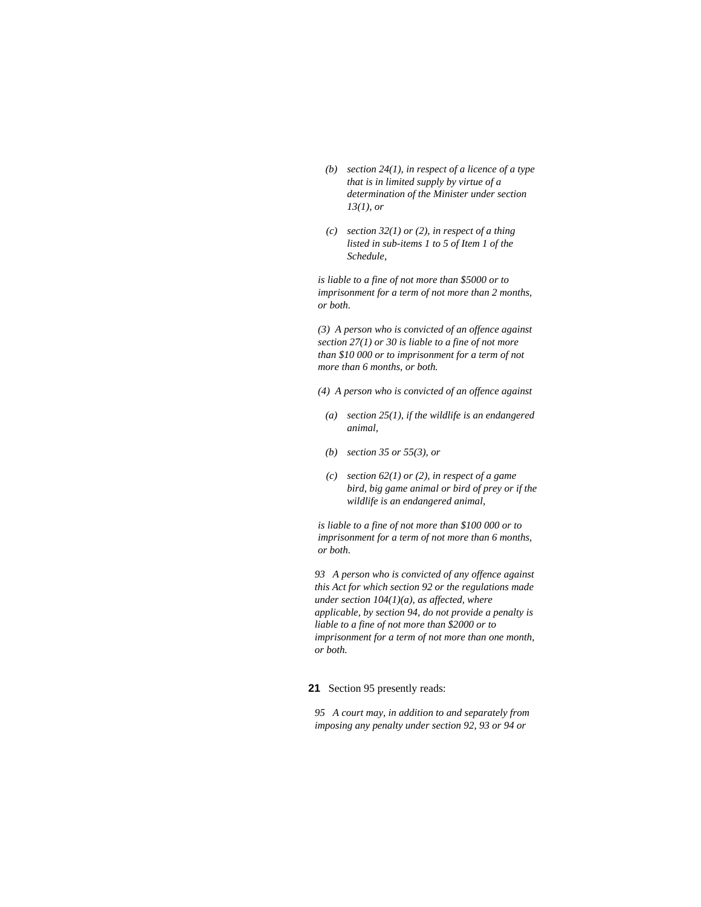- *(b) section 24(1), in respect of a licence of a type that is in limited supply by virtue of a determination of the Minister under section 13(1), or*
- *(c) section 32(1) or (2), in respect of a thing listed in sub-items 1 to 5 of Item 1 of the Schedule,*

*is liable to a fine of not more than \$5000 or to imprisonment for a term of not more than 2 months, or both.* 

*(3) A person who is convicted of an offence against section 27(1) or 30 is liable to a fine of not more than \$10 000 or to imprisonment for a term of not more than 6 months, or both.* 

- *(4) A person who is convicted of an offence against*
- *(a) section 25(1), if the wildlife is an endangered animal,*
- *(b) section 35 or 55(3), or*
- *(c) section 62(1) or (2), in respect of a game bird, big game animal or bird of prey or if the wildlife is an endangered animal,*

*is liable to a fine of not more than \$100 000 or to imprisonment for a term of not more than 6 months, or both.* 

*93 A person who is convicted of any offence against this Act for which section 92 or the regulations made under section 104(1)(a), as affected, where applicable, by section 94, do not provide a penalty is liable to a fine of not more than \$2000 or to imprisonment for a term of not more than one month, or both.* 

**21** Section 95 presently reads:

*95 A court may, in addition to and separately from imposing any penalty under section 92, 93 or 94 or*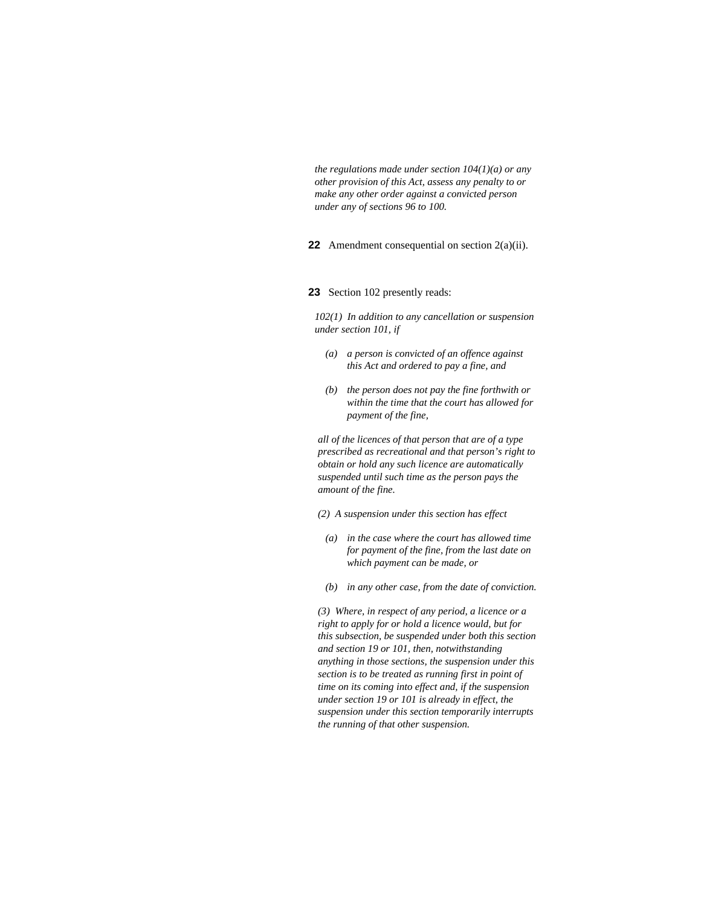*the regulations made under section 104(1)(a) or any other provision of this Act, assess any penalty to or make any other order against a convicted person under any of sections 96 to 100.* 

**22** Amendment consequential on section 2(a)(ii).

# **23** Section 102 presently reads:

*102(1) In addition to any cancellation or suspension under section 101, if* 

- *(a) a person is convicted of an offence against this Act and ordered to pay a fine, and*
- *(b) the person does not pay the fine forthwith or within the time that the court has allowed for payment of the fine,*

*all of the licences of that person that are of a type prescribed as recreational and that person's right to obtain or hold any such licence are automatically suspended until such time as the person pays the amount of the fine.* 

*(2) A suspension under this section has effect* 

- *(a) in the case where the court has allowed time for payment of the fine, from the last date on which payment can be made, or*
- *(b) in any other case, from the date of conviction.*

*(3) Where, in respect of any period, a licence or a right to apply for or hold a licence would, but for this subsection, be suspended under both this section and section 19 or 101, then, notwithstanding anything in those sections, the suspension under this section is to be treated as running first in point of time on its coming into effect and, if the suspension under section 19 or 101 is already in effect, the suspension under this section temporarily interrupts the running of that other suspension.*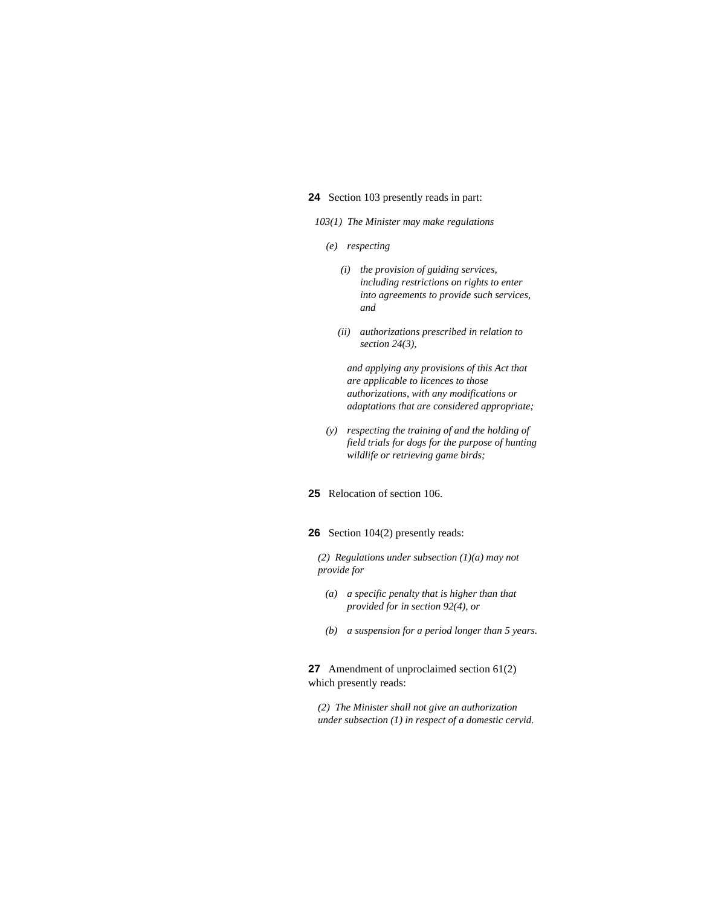### **24** Section 103 presently reads in part:

*103(1) The Minister may make regulations* 

- *(e) respecting* 
	- *(i) the provision of guiding services, including restrictions on rights to enter into agreements to provide such services, and*
	- *(ii) authorizations prescribed in relation to section 24(3),*

 *and applying any provisions of this Act that are applicable to licences to those authorizations, with any modifications or adaptations that are considered appropriate;* 

- *(y) respecting the training of and the holding of field trials for dogs for the purpose of hunting wildlife or retrieving game birds;*
- **25** Relocation of section 106.

**26** Section 104(2) presently reads:

*(2) Regulations under subsection (1)(a) may not provide for* 

- *(a) a specific penalty that is higher than that provided for in section 92(4), or*
- *(b) a suspension for a period longer than 5 years.*

**27** Amendment of unproclaimed section 61(2) which presently reads:

*(2) The Minister shall not give an authorization under subsection (1) in respect of a domestic cervid.*